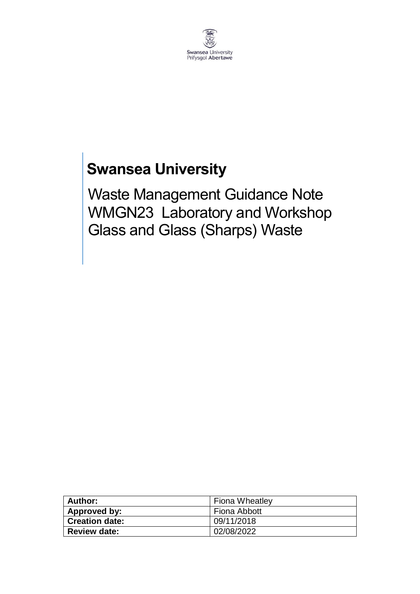

## **Swansea University**

Waste Management Guidance Note WMGN23 Laboratory and Workshop Glass and Glass (Sharps) Waste

| Author:               | <b>Fiona Wheatley</b> |
|-----------------------|-----------------------|
| Approved by:          | Fiona Abbott          |
| <b>Creation date:</b> | 09/11/2018            |
| <b>Review date:</b>   | 02/08/2022            |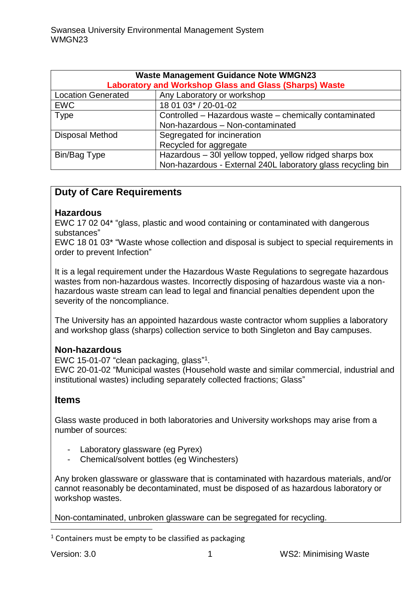| <b>Waste Management Guidance Note WMGN23</b><br><b>Laboratory and Workshop Glass and Glass (Sharps) Waste</b> |                                                              |  |
|---------------------------------------------------------------------------------------------------------------|--------------------------------------------------------------|--|
| <b>Location Generated</b>                                                                                     | Any Laboratory or workshop                                   |  |
| <b>EWC</b>                                                                                                    | 18 01 03* / 20-01-02                                         |  |
| Type                                                                                                          | Controlled - Hazardous waste - chemically contaminated       |  |
|                                                                                                               | Non-hazardous - Non-contaminated                             |  |
| Disposal Method                                                                                               | Segregated for incineration                                  |  |
|                                                                                                               | Recycled for aggregate                                       |  |
| Bin/Bag Type                                                                                                  | Hazardous - 30l yellow topped, yellow ridged sharps box      |  |
|                                                                                                               | Non-hazardous - External 240L laboratory glass recycling bin |  |

#### **Duty of Care Requirements**

#### **Hazardous**

EWC 17 02 04\* "glass, plastic and wood containing or contaminated with dangerous substances"

EWC 18 01 03\* "Waste whose collection and disposal is subject to special requirements in order to prevent Infection"

It is a legal requirement under the Hazardous Waste Regulations to segregate hazardous wastes from non-hazardous wastes. Incorrectly disposing of hazardous waste via a nonhazardous waste stream can lead to legal and financial penalties dependent upon the severity of the noncompliance.

The University has an appointed hazardous waste contractor whom supplies a laboratory and workshop glass (sharps) collection service to both Singleton and Bay campuses.

#### **Non-hazardous**

EWC 15-01-07 "clean packaging, glass" 1 . EWC 20-01-02 "Municipal wastes (Household waste and similar commercial, industrial and

institutional wastes) including separately collected fractions; Glass"

#### **Items**

Glass waste produced in both laboratories and University workshops may arise from a number of sources:

- Laboratory glassware (eg Pyrex)
- Chemical/solvent bottles (eg Winchesters)

Any broken glassware or glassware that is contaminated with hazardous materials, and/or cannot reasonably be decontaminated, must be disposed of as hazardous laboratory or workshop wastes.

Non-contaminated, unbroken glassware can be segregated for recycling.

 $1$  Containers must be empty to be classified as packaging

.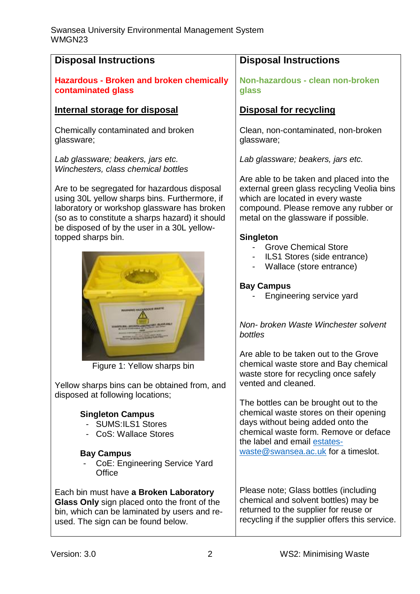| <b>Disposal Instructions</b>                                                                                                                                                                                                                  | <b>Disposal Instructions</b>                                                                                                                                                                               |
|-----------------------------------------------------------------------------------------------------------------------------------------------------------------------------------------------------------------------------------------------|------------------------------------------------------------------------------------------------------------------------------------------------------------------------------------------------------------|
| <b>Hazardous - Broken and broken chemically</b><br>contaminated glass                                                                                                                                                                         | Non-hazardous - clean non-broken<br>glass                                                                                                                                                                  |
| Internal storage for disposal                                                                                                                                                                                                                 | <b>Disposal for recycling</b>                                                                                                                                                                              |
| Chemically contaminated and broken<br>glassware;                                                                                                                                                                                              | Clean, non-contaminated, non-broken<br>glassware;                                                                                                                                                          |
| Lab glassware; beakers, jars etc.<br>Winchesters, class chemical bottles                                                                                                                                                                      | Lab glassware; beakers, jars etc.                                                                                                                                                                          |
| Are to be segregated for hazardous disposal<br>using 30L yellow sharps bins. Furthermore, if<br>laboratory or workshop glassware has broken<br>(so as to constitute a sharps hazard) it should<br>be disposed of by the user in a 30L yellow- | Are able to be taken and placed into the<br>external green glass recycling Veolia bins<br>which are located in every waste<br>compound. Please remove any rubber or<br>metal on the glassware if possible. |
| topped sharps bin.                                                                                                                                                                                                                            | <b>Singleton</b>                                                                                                                                                                                           |
|                                                                                                                                                                                                                                               | <b>Grove Chemical Store</b><br>ILS1 Stores (side entrance)<br>Wallace (store entrance)                                                                                                                     |
| ARMAD REASSOCKIE WATER                                                                                                                                                                                                                        | <b>Bay Campus</b><br>Engineering service yard                                                                                                                                                              |
|                                                                                                                                                                                                                                               | Non- broken Waste Winchester solvent<br>bottles                                                                                                                                                            |
| Figure 1: Yellow sharps bin                                                                                                                                                                                                                   | Are able to be taken out to the Grove<br>chemical waste store and Bay chemical<br>waste store for recycling once safely                                                                                    |
| Yellow sharps bins can be obtained from, and                                                                                                                                                                                                  | vented and cleaned.                                                                                                                                                                                        |
| disposed at following locations;                                                                                                                                                                                                              |                                                                                                                                                                                                            |
| <b>Singleton Campus</b>                                                                                                                                                                                                                       | The bottles can be brought out to the<br>chemical waste stores on their opening                                                                                                                            |
| <b>SUMS:ILS1 Stores</b>                                                                                                                                                                                                                       | days without being added onto the                                                                                                                                                                          |
| <b>CoS: Wallace Stores</b>                                                                                                                                                                                                                    | chemical waste form. Remove or deface                                                                                                                                                                      |
|                                                                                                                                                                                                                                               | the label and email estates-                                                                                                                                                                               |
| <b>Bay Campus</b>                                                                                                                                                                                                                             | waste@swansea.ac.uk for a timeslot.                                                                                                                                                                        |
| CoE: Engineering Service Yard<br>Office                                                                                                                                                                                                       |                                                                                                                                                                                                            |
| Each bin must have a Broken Laboratory                                                                                                                                                                                                        | Please note; Glass bottles (including                                                                                                                                                                      |
| Glass Only sign placed onto the front of the                                                                                                                                                                                                  | chemical and solvent bottles) may be                                                                                                                                                                       |
| bin, which can be laminated by users and re-                                                                                                                                                                                                  | returned to the supplier for reuse or                                                                                                                                                                      |
| used. The sign can be found below.                                                                                                                                                                                                            | recycling if the supplier offers this service.                                                                                                                                                             |
|                                                                                                                                                                                                                                               |                                                                                                                                                                                                            |
| Version: 3.0<br>$\overline{2}$                                                                                                                                                                                                                | <b>WS2: Minimising Waste</b>                                                                                                                                                                               |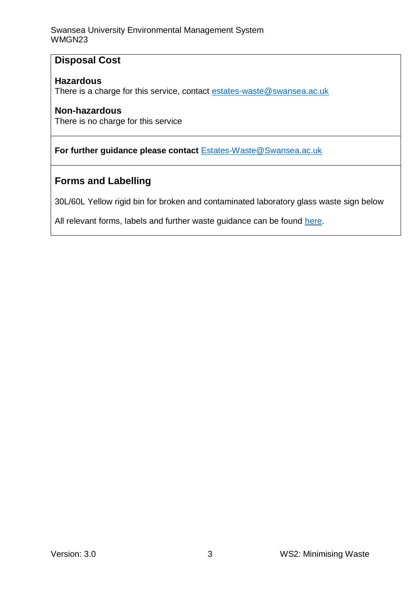Swansea University Environmental Management System WMGN23

#### **Disposal Cost**

#### **Hazardous**

There is a charge for this service, contact [estates-waste@swansea.ac.uk](mailto:estates-waste@swansea.ac.uk)

#### **Non-hazardous**

There is no charge for this service

#### **For further guidance please contact** [Estates-Waste@Swansea.ac.uk](mailto:Estates-Waste@Swansea.ac.uk)

#### **Forms and Labelling**

30L/60L Yellow rigid bin for broken and contaminated laboratory glass waste sign below

All relevant forms, labels and further waste guidance can be found [here.](https://www.swansea.ac.uk/sustainability/waste/)